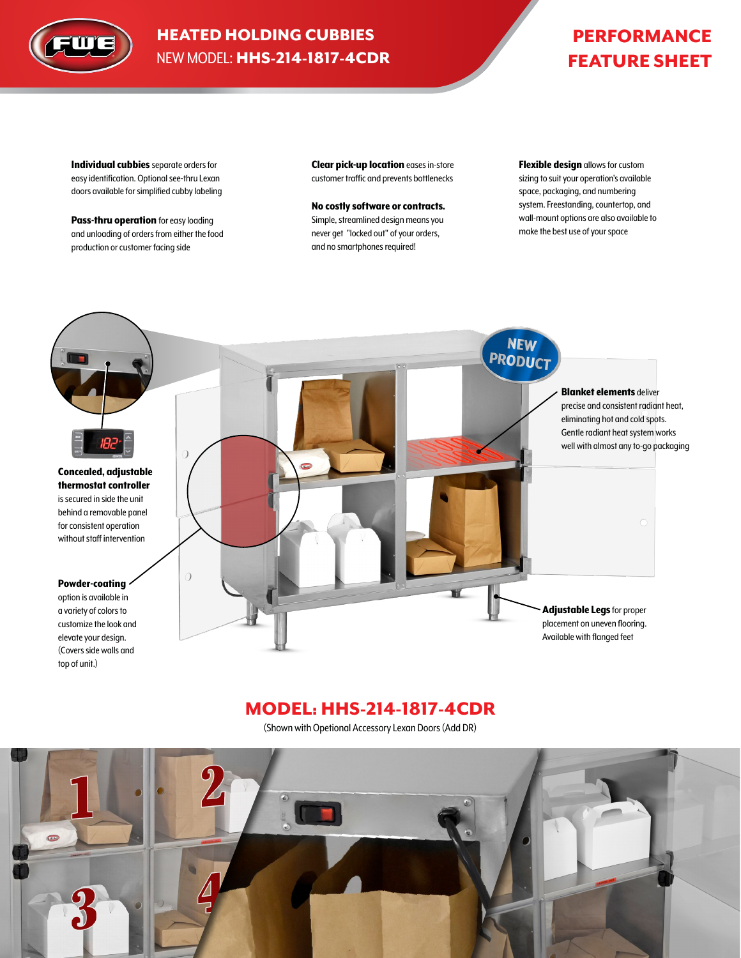

## HEATED HOLDING CUBBIES NEW MODEL: HHS-214-1817-4CDR

# PERFORMANCE FEATURE SHEET

Individual cubbies separate orders for easy identification. Optional see-thru Lexan doors available for simplified cubby labeling

Pass-thru operation for easy loading and unloading of orders from either the food production or customer facing side

Clear pick-up location eases in-store customer traffic and prevents bottlenecks

No costly software or contracts. Simple, streamlined design means you never get "locked out" of your orders, and no smartphones required!

Flexible design allows for custom sizing to suit your operation's available space, packaging, and numbering system. Freestanding, countertop, and wall-mount options are also available to make the best use of your space



## MODEL: HHS-214-1817-4CDR

(Shown with Opetional Accessory Lexan Doors (Add DR)